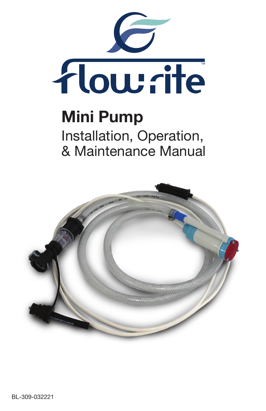

# Mini Pump Installation, Operation, & Maintenance Manual

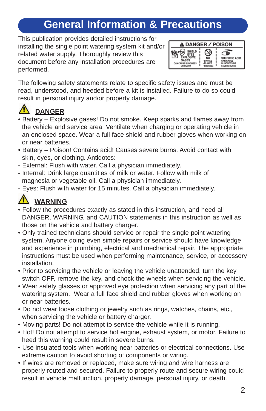### **General Information & Precautions**

This publication provides detailed instructions for installing the single point watering system kit and/or related water supply. Thoroughly review this document before any installation procedures are performed.



The following safety statements relate to specific safety issues and must be read, understood, and heeded before a kit is installed. Failure to do so could result in personal injury and/or property damage.

### **DANGER**

- Battery Explosive gases! Do not smoke. Keep sparks and flames away from the vehicle and service area. Ventilate when charging or operating vehicle in an enclosed space. Wear a full face shield and rubber gloves when working on or near batteries.
- Battery Poison! Contains acid! Causes severe burns. Avoid contact with skin, eyes, or clothing. Antidotes:
- External: Flush with water. Call a physician immediately.
- Internal: Drink large quantities of milk or water. Follow with milk of magnesia or vegetable oil. Call a physician immediately.
- Eyes: Flush with water for 15 minutes. Call a physician immediately.

### **WARNING**

- Follow the procedures exactly as stated in this instruction, and heed all DANGER, WARNING, and CAUTION statements in this instruction as well as those on the vehicle and battery charger.
- Only trained technicians should service or repair the single point watering system. Anyone doing even simple repairs or service should have knowledge and experience in plumbing, electrical and mechanical repair. The appropriate instructions must be used when performing maintenance, service, or accessory installation.
- Prior to servicing the vehicle or leaving the vehicle unattended, turn the key switch OFF, remove the key, and chock the wheels when servicing the vehicle.
- Wear safety glasses or approved eye protection when servicing any part of the watering system. Wear a full face shield and rubber gloves when working on or near batteries.
- Do not wear loose clothing or jewelry such as rings, watches, chains, etc., when servicing the vehicle or battery charger.
- Moving parts! Do not attempt to service the vehicle while it is running.
- Hot! Do not attempt to service hot engine, exhaust system, or motor. Failure to heed this warning could result in severe burns.
- Use insulated tools when working near batteries or electrical connections. Use extreme caution to avoid shorting of components or wiring.
- If wires are removed or replaced, make sure wiring and wire harness are properly routed and secured. Failure to properly route and secure wiring could result in vehicle malfunction, property damage, personal injury, or death.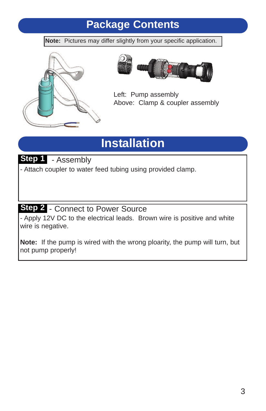### **Package Contents**

**Note:** Pictures may differ slightly from your specific application.





Left: Pump assembly Above: Clamp & coupler assembly

# **Installation**

**Step 1** - Assembly

- Attach coupler to water feed tubing using provided clamp.

### Step 2 - Connect to Power Source

- Apply 12V DC to the electrical leads. Brown wire is positive and white wire is negative.

**Note:** If the pump is wired with the wrong ploarity, the pump will turn, but not pump properly!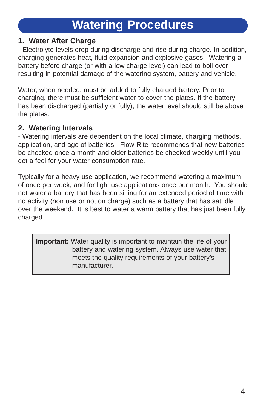# **Watering Procedures**

#### **1. Water After Charge**

- Electrolyte levels drop during discharge and rise during charge. In addition, charging generates heat, fluid expansion and explosive gases. Watering a battery before charge (or with a low charge level) can lead to boil over resulting in potential damage of the watering system, battery and vehicle.

Water, when needed, must be added to fully charged battery. Prior to charging, there must be sufficient water to cover the plates. If the battery has been discharged (partially or fully), the water level should still be above the plates.

#### **2. Watering Intervals**

- Watering intervals are dependent on the local climate, charging methods, application, and age of batteries. Flow-Rite recommends that new batteries be checked once a month and older batteries be checked weekly until you get a feel for your water consumption rate.

Typically for a heavy use application, we recommend watering a maximum of once per week, and for light use applications once per month. You should not water a battery that has been sitting for an extended period of time with no activity (non use or not on charge) such as a battery that has sat idle over the weekend. It is best to water a warm battery that has just been fully charged.

**Important:** Water quality is important to maintain the life of your battery and watering system. Always use water that meets the quality requirements of your battery's manufacturer.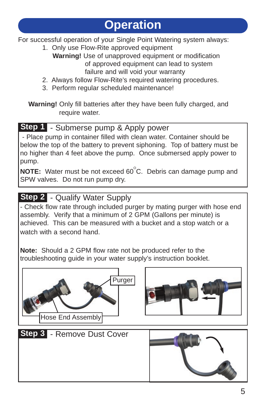For successful operation of your Single Point Watering system always:

- 1. Only use Flow-Rite approved equipment **Warning!** Use of unapproved equipment or modification of approved equipment can lead to system failure and will void your warranty
- 2. Always follow Flow-Rite's required watering procedures.
- 3. Perform regular scheduled maintenance!

**Warning!** Only fill batteries after they have been fully charged, and require water.

### **Step 1** - Submerse pump & Apply power

- Place pump in container filled with clean water. Container should be below the top of the battery to prevent siphoning. Top of battery must be no higher than 4 feet above the pump. Once submersed apply power to pump.

**NOTE:** Water must be not exceed 60<sup>°</sup>C. Debris can damage pump and SPW valves. Do not run pump dry.

### **Step 2** - Qualify Water Supply

- Check flow rate through included purger by mating purger with hose end assembly. Verify that a minimum of 2 GPM (Gallons per minute) is achieved. This can be measured with a bucket and a stop watch or a watch with a second hand.

**Note:** Should a 2 GPM flow rate not be produced refer to the troubleshooting guide in your water supply's instruction booklet.

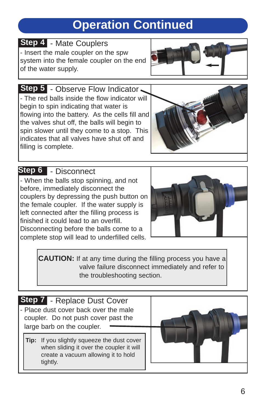# **Operation Continued**

**Step 4 - Mate Couplers** - Insert the male coupler on the spw system into the female coupler on the end of the water supply.



**Step 5** - Observe Flow Indicator - The red balls inside the flow indicator will begin to spin indicating that water is flowing into the battery. As the cells fill and the valves shut off, the balls will begin to spin slower until they come to a stop. This indicates that all valves have shut off and filling is complete.



### **Step 6** - Disconnect

- When the balls stop spinning, and not before, immediately disconnect the couplers by depressing the push button on the female coupler. If the water supply is left connected after the filling process is finished it could lead to an overfill. Disconnecting before the balls come to a complete stop will lead to underfilled cells.



**CAUTION:** If at any time during the filling process you have a valve failure disconnect immediately and refer to the troubleshooting section.

- Step 7 Replace Dust Cover - Place dust cover back over the male coupler. Do not push cover past the large barb on the coupler.
	- **Tip:** If you slightly squeeze the dust cover when sliding it over the coupler it will create a vacuum allowing it to hold tightly.

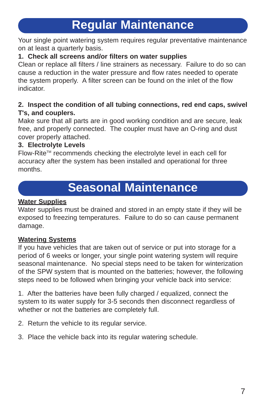# **Regular Maintenance**

Your single point watering system requires regular preventative maintenance on at least a quarterly basis.

#### **1. Check all screens and/or filters on water supplies**

Clean or replace all filters / line strainers as necessary. Failure to do so can cause a reduction in the water pressure and flow rates needed to operate the system properly. A filter screen can be found on the inlet of the flow indicator.

#### **2. Inspect the condition of all tubing connections, red end caps, swivel T's, and couplers.**

Make sure that all parts are in good working condition and are secure, leak free, and properly connected. The coupler must have an O-ring and dust cover properly attached.

#### **3. Electrolyte Levels**

Flow-Rite™ recommends checking the electrolyte level in each cell for accuracy after the system has been installed and operational for three months.

# **Seasonal Maintenance**

#### **Water Supplies**

Water supplies must be drained and stored in an empty state if they will be exposed to freezing temperatures. Failure to do so can cause permanent damage.

#### **Watering Systems**

If you have vehicles that are taken out of service or put into storage for a period of 6 weeks or longer, your single point watering system will require seasonal maintenance. No special steps need to be taken for winterization of the SPW system that is mounted on the batteries; however, the following steps need to be followed when bringing your vehicle back into service:

1. After the batteries have been fully charged / equalized, connect the system to its water supply for 3-5 seconds then disconnect regardless of whether or not the batteries are completely full.

2. Return the vehicle to its regular service.

3. Place the vehicle back into its regular watering schedule.